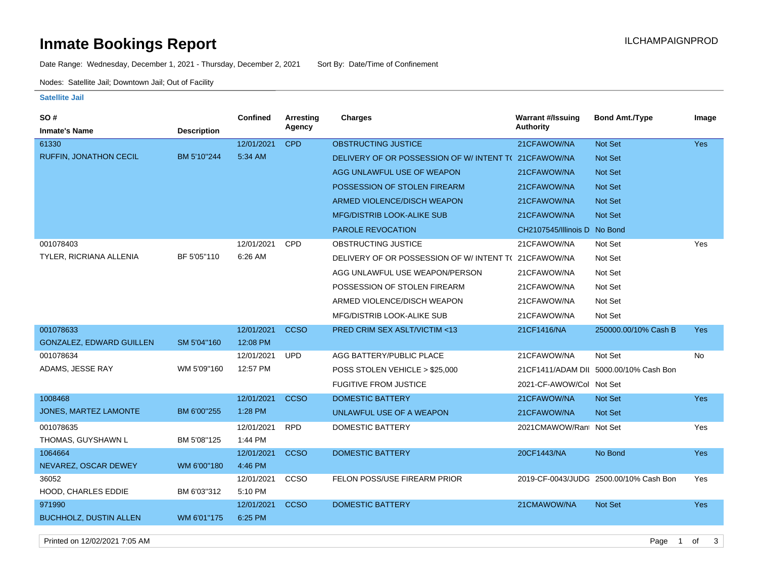# **Inmate Bookings Report Installation ILCHAMPAIGNPROD**

Date Range: Wednesday, December 1, 2021 - Thursday, December 2, 2021 Sort By: Date/Time of Confinement

Nodes: Satellite Jail; Downtown Jail; Out of Facility

#### **Satellite Jail**

| SO #                            |                    | <b>Confined</b> | Arresting   | <b>Charges</b>                                        | <b>Warrant #/Issuing</b>     | <b>Bond Amt./Type</b>                  | Image      |
|---------------------------------|--------------------|-----------------|-------------|-------------------------------------------------------|------------------------------|----------------------------------------|------------|
| <b>Inmate's Name</b>            | <b>Description</b> |                 | Agency      |                                                       | <b>Authority</b>             |                                        |            |
| 61330                           |                    | 12/01/2021      | <b>CPD</b>  | <b>OBSTRUCTING JUSTICE</b>                            | 21CFAWOW/NA                  | Not Set                                | <b>Yes</b> |
| RUFFIN, JONATHON CECIL          | BM 5'10"244        | 5:34 AM         |             | DELIVERY OF OR POSSESSION OF W/INTENT T(21CFAWOW/NA   |                              | Not Set                                |            |
|                                 |                    |                 |             | AGG UNLAWFUL USE OF WEAPON                            | 21CFAWOW/NA                  | Not Set                                |            |
|                                 |                    |                 |             | POSSESSION OF STOLEN FIREARM                          | 21CFAWOW/NA                  | Not Set                                |            |
|                                 |                    |                 |             | ARMED VIOLENCE/DISCH WEAPON                           | 21CFAWOW/NA                  | Not Set                                |            |
|                                 |                    |                 |             | <b>MFG/DISTRIB LOOK-ALIKE SUB</b>                     | 21CFAWOW/NA                  | Not Set                                |            |
|                                 |                    |                 |             | <b>PAROLE REVOCATION</b>                              | CH2107545/Illinois D No Bond |                                        |            |
| 001078403                       |                    | 12/01/2021      | <b>CPD</b>  | OBSTRUCTING JUSTICE                                   | 21CFAWOW/NA                  | Not Set                                | Yes        |
| TYLER, RICRIANA ALLENIA         | BF 5'05"110        | 6:26 AM         |             | DELIVERY OF OR POSSESSION OF W/ INTENT T( 21CFAWOW/NA |                              | Not Set                                |            |
|                                 |                    |                 |             | AGG UNLAWFUL USE WEAPON/PERSON                        | 21CFAWOW/NA                  | Not Set                                |            |
|                                 |                    |                 |             | POSSESSION OF STOLEN FIREARM                          | 21CFAWOW/NA                  | Not Set                                |            |
|                                 |                    |                 |             | ARMED VIOLENCE/DISCH WEAPON                           | 21CFAWOW/NA                  | Not Set                                |            |
|                                 |                    |                 |             | MFG/DISTRIB LOOK-ALIKE SUB                            | 21CFAWOW/NA                  | Not Set                                |            |
| 001078633                       |                    | 12/01/2021      | <b>CCSO</b> | PRED CRIM SEX ASLT/VICTIM <13                         | 21CF1416/NA                  | 250000.00/10% Cash B                   | <b>Yes</b> |
| <b>GONZALEZ, EDWARD GUILLEN</b> | SM 5'04"160        | 12:08 PM        |             |                                                       |                              |                                        |            |
| 001078634                       |                    | 12/01/2021      | <b>UPD</b>  | AGG BATTERY/PUBLIC PLACE                              | 21CFAWOW/NA                  | Not Set                                | No         |
| ADAMS, JESSE RAY                | WM 5'09"160        | 12:57 PM        |             | POSS STOLEN VEHICLE > \$25,000                        |                              | 21CF1411/ADAM DII 5000.00/10% Cash Bon |            |
|                                 |                    |                 |             | <b>FUGITIVE FROM JUSTICE</b>                          | 2021-CF-AWOW/Col Not Set     |                                        |            |
| 1008468                         |                    | 12/01/2021      | <b>CCSO</b> | <b>DOMESTIC BATTERY</b>                               | 21CFAWOW/NA                  | Not Set                                | <b>Yes</b> |
| JONES, MARTEZ LAMONTE           | BM 6'00"255        | 1:28 PM         |             | UNLAWFUL USE OF A WEAPON                              | 21CFAWOW/NA                  | Not Set                                |            |
| 001078635                       |                    | 12/01/2021      | <b>RPD</b>  | <b>DOMESTIC BATTERY</b>                               | 2021CMAWOW/Rant Not Set      |                                        | Yes        |
| THOMAS, GUYSHAWN L              | BM 5'08"125        | 1:44 PM         |             |                                                       |                              |                                        |            |
| 1064664                         |                    | 12/01/2021      | <b>CCSO</b> | <b>DOMESTIC BATTERY</b>                               | 20CF1443/NA                  | No Bond                                | Yes        |
| NEVAREZ, OSCAR DEWEY            | WM 6'00"180        | 4:46 PM         |             |                                                       |                              |                                        |            |
| 36052                           |                    | 12/01/2021      | ccso        | FELON POSS/USE FIREARM PRIOR                          |                              | 2019-CF-0043/JUDG 2500.00/10% Cash Bon | Yes        |
| HOOD, CHARLES EDDIE             | BM 6'03"312        | 5:10 PM         |             |                                                       |                              |                                        |            |
| 971990                          |                    | 12/01/2021      | <b>CCSO</b> | <b>DOMESTIC BATTERY</b>                               | 21CMAWOW/NA                  | Not Set                                | <b>Yes</b> |
| <b>BUCHHOLZ, DUSTIN ALLEN</b>   | WM 6'01"175        | 6:25 PM         |             |                                                       |                              |                                        |            |

Printed on 12/02/2021 7:05 AM Page 1 of 3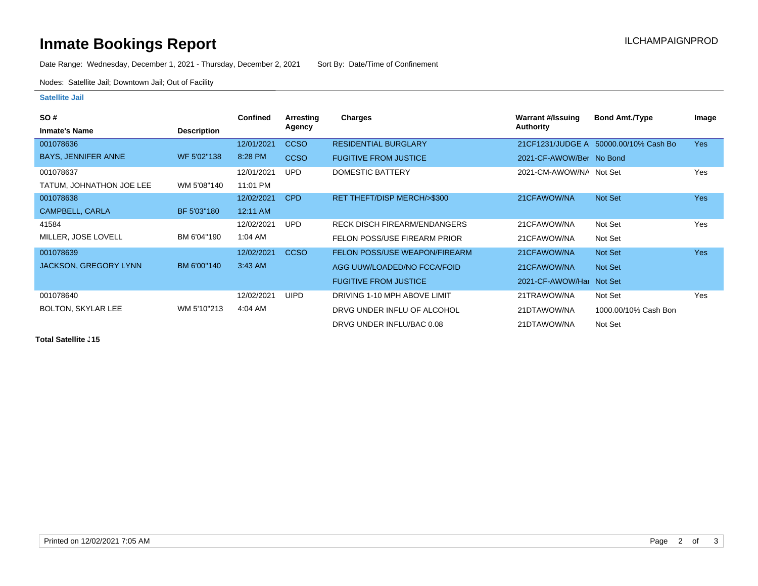# **Inmate Bookings Report Installation ILCHAMPAIGNPROD**

Date Range: Wednesday, December 1, 2021 - Thursday, December 2, 2021 Sort By: Date/Time of Confinement

Nodes: Satellite Jail; Downtown Jail; Out of Facility

### **Satellite Jail**

| <b>SO#</b>                   |                    | <b>Confined</b> | Arresting   | Charges                             | <b>Warrant #/Issuing</b> | <b>Bond Amt./Type</b>                  | Image      |
|------------------------------|--------------------|-----------------|-------------|-------------------------------------|--------------------------|----------------------------------------|------------|
| <b>Inmate's Name</b>         | <b>Description</b> |                 | Agency      |                                     | Authority                |                                        |            |
| 001078636                    |                    | 12/01/2021      | <b>CCSO</b> | <b>RESIDENTIAL BURGLARY</b>         |                          | 21 CF1231/JUDGE A 50000.00/10% Cash Bo | <b>Yes</b> |
| <b>BAYS, JENNIFER ANNE</b>   | WF 5'02"138        | 8:28 PM         | <b>CCSO</b> | <b>FUGITIVE FROM JUSTICE</b>        | 2021-CF-AWOW/Ber No Bond |                                        |            |
| 001078637                    |                    | 12/01/2021      | <b>UPD</b>  | <b>DOMESTIC BATTERY</b>             | 2021-CM-AWOW/NA Not Set  |                                        | Yes        |
| TATUM, JOHNATHON JOE LEE     | WM 5'08"140        | 11:01 PM        |             |                                     |                          |                                        |            |
| 001078638                    |                    | 12/02/2021      | <b>CPD</b>  | RET THEFT/DISP MERCH/>\$300         | 21CFAWOW/NA              | Not Set                                | <b>Yes</b> |
| CAMPBELL, CARLA              | BF 5'03"180        | 12:11 AM        |             |                                     |                          |                                        |            |
| 41584                        |                    | 12/02/2021      | <b>UPD</b>  | <b>RECK DISCH FIREARM/ENDANGERS</b> | 21CFAWOW/NA              | Not Set                                | Yes        |
| MILLER, JOSE LOVELL          | BM 6'04"190        | 1:04 AM         |             | FELON POSS/USE FIREARM PRIOR        | 21CFAWOW/NA              | Not Set                                |            |
| 001078639                    |                    | 12/02/2021      | <b>CCSO</b> | FELON POSS/USE WEAPON/FIREARM       | 21CFAWOW/NA              | Not Set                                | <b>Yes</b> |
| <b>JACKSON, GREGORY LYNN</b> | BM 6'00"140        | $3:43$ AM       |             | AGG UUW/LOADED/NO FCCA/FOID         | 21CFAWOW/NA              | Not Set                                |            |
|                              |                    |                 |             | <b>FUGITIVE FROM JUSTICE</b>        | 2021-CF-AWOW/Har Not Set |                                        |            |
| 001078640                    |                    | 12/02/2021      | <b>UIPD</b> | DRIVING 1-10 MPH ABOVE LIMIT        | 21TRAWOW/NA              | Not Set                                | Yes        |
| <b>BOLTON, SKYLAR LEE</b>    | WM 5'10"213        | 4:04 AM         |             | DRVG UNDER INFLU OF ALCOHOL         | 21DTAWOW/NA              | 1000.00/10% Cash Bon                   |            |
|                              |                    |                 |             | DRVG UNDER INFLU/BAC 0.08           | 21DTAWOW/NA              | Not Set                                |            |

**Total Satellite . 15**